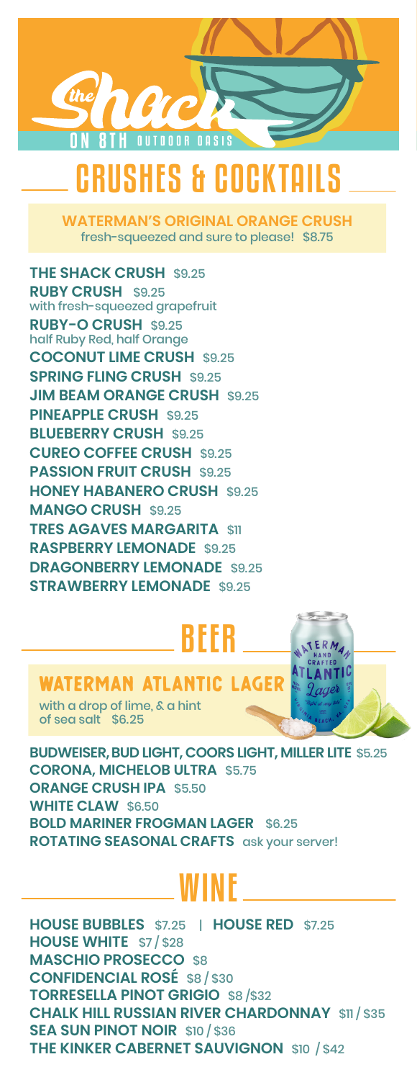

# CRUSHES & COCKTAILS

**WATERMAN'S ORIGINAL ORANGE CRUSH** fresh-squeezed and sure to please! \$8.75

**THE SHACK CRUSH** \$9.25 **RUBY CRUSH** \$9.25 with fresh-squeezed grapefruit **RUBY-O CRUSH** \$9.25 half Ruby Red, half Orange **COCONUT LIME CRUSH** \$9.25 **SPRING FLING CRUSH** \$9.25 **JIM BEAM ORANGE CRUSH \$9.25 PINEAPPLE CRUSH \$9.25 BLUEBERRY CRUSH** \$9.25 **CUREO COFFEE CRUSH** \$9.25 **PASSION FRUIT CRUSH** \$9.25 **HONEY HABANERO CRUSH** \$9.25 **MANGO CRUSH** \$9.25 **TRES AGAVES MARGARITA** \$11 **RASPBERRY LEMONADE** \$9.25 **DRAGONBERRY LEMONADE** \$9.25 **STRAWBERRY LEMONADE** \$9.25

# BEER

## 'ATERMAN ATLANTIC

with a drop of lime, & a hint of sea salt \$6.25

**BUDWEISER, BUD LIGHT, COORS LIGHT, MILLER LITE** \$5.25 **CORONA, MICHELOB ULTRA** \$5.75 **ORANGE CRUSH IPA** \$5.50 **WHITE CLAW** \$6.50 **BOLD MARINER FROGMAN LAGER** \$6.25 **ROTATING SEASONAL CRAFTS** ask your server!

# WINE

**HOUSE BUBBLES** \$7.25 | **HOUSE RED** \$7.25 **HOUSE WHITE** \$7 / \$28 **MASCHIO PROSECCO** \$8 **CONFIDENCIAL ROSÉ** \$8 / \$30 **TORRESELLA PINOT GRIGIO** \$8 /\$32 **CHALK HILL RUSSIAN RIVER CHARDONNAY** \$11 / \$35 **SEA SUN PINOT NOIR** \$10 / \$36 **THE KINKER CABERNET SAUVIGNON** \$10 / \$42